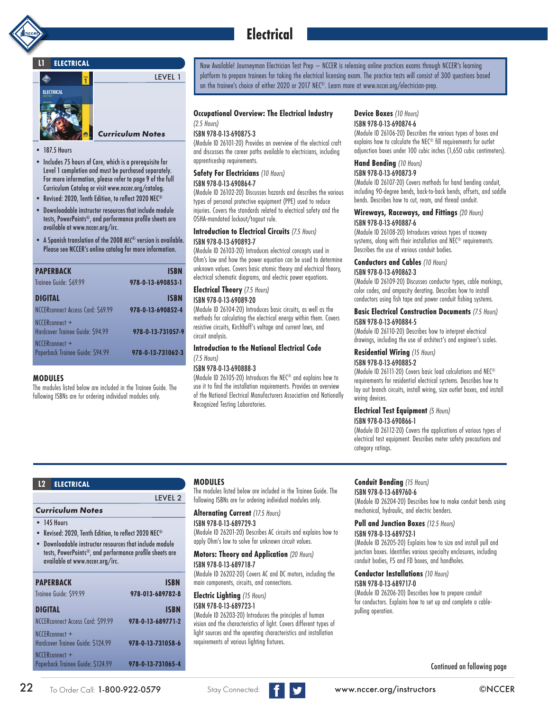

# **Electrical**

### **L1 ELECTRICAL**



- 187.5 Hours
- Includes 75 hours of Core, which is a prerequisite for Level 1 completion and must be purchased separately. For more information, please refer to page 9 of the full Curriculum Catalog or visit www.nccer.org/catalog.
- Revised: 2020, Tenth Edition, to reflect 2020 NEC®
- Downloadable instructor resources that include module tests, PowerPoints®, and performance profile sheets are available at www.nccer.org/irc.
- A Spanish translation of the 2008 *NEC*® version is available. Please see NCCER's online catalog for more information.

| <b>PAPERBACK</b>                                   | <b>ISBN</b>       |
|----------------------------------------------------|-------------------|
| Trainee Guide: \$69.99                             | 978-0-13-690853-1 |
| DIGITAL                                            | <b>ISBN</b>       |
| NCCERconnect Access Card: \$69.99                  | 978-0-13-690852-4 |
| NCCERconnect +<br>Hardcover Trainee Guide: \$94.99 | 978-0-13-731057-9 |
| NCCERconnect +<br>Paperback Trainee Guide: \$94.99 | 978-0-13-731062-3 |
|                                                    |                   |

### **MODULES**

The modules listed below are included in the Trainee Guide. The following ISBNs are for ordering individual modules only.

Now Available! Journeyman Electrician Test Prep – NCCER is releasing online practices exams through NCCER's learning platform to prepare trainees for taking the electrical licensing exam. The practice tests will consist of 300 questions based on the trainee's choice of either 2020 or 2017 NEC®. Learn more at www.nccer.org/electrician-prep.

### **Occupational Overview: The Electrical Industry**

#### *(2.5 Hours)* ISBN 978-0-13-690875-3

(Module ID 26101-20) Provides an overview of the electrical craft and discusses the career paths available to electricians, including apprenticeship requirements.

### **Safety For Electricians** *(10 Hours)*

### ISBN 978-0-13-690864-7

(Module ID 26102-20) Discusses hazards and describes the various types of personal protective equipment (PPE) used to reduce injuries. Covers the standards related to electrical safety and the OSHA-mandated lockout/tagout rule.

#### **Introduction to Electrical Circuits** *(7.5 Hours)* ISBN 978-0-13-690893-7

(Module ID 26103-20) Introduces electrical concepts used in Ohm's law and how the power equation can be used to determine unknown values. Covers basic atomic theory and electrical theory, electrical schematic diagrams, and electric power equations.

### **Electrical Theory** *(7.5 Hours)* ISBN 978-0-13-69089-20

(Module ID 26104-20) Introduces basic circuits, as well as the methods for calculating the electrical energy within them. Covers resistive circuits, Kirchhoff's voltage and current laws, and circuit analysis.

#### **Introduction to the National Electrical Code**  *(7.5 Hours)* ISBN 978-0-13-690888-3

(Module ID 26105-20) Introduces the NEC® and explains how to use it to find the installation requirements. Provides an overview of the National Electrical Manufacturers Association and Nationally Recognized Testing Laboratories.

### **Device Boxes** *(10 Hours)*

ISBN 978-0-13-690874-6 (Module ID 26106-20) Describes the various types of boxes and explains how to calculate the NEC® fill requirements for outlet adjunction boxes under 100 cubic inches (1,650 cubic centimeters).

### **Hand Bending** *(10 Hours)*

#### ISBN 978-0-13-690873-9

(Module ID 26107-20) Covers methods for hand bending conduit, including 90-degree bends, back-to-back bends, offsets, and saddle bends. Describes how to cut, ream, and thread conduit.

### **Wireways, Raceways, and Fittings** *(20 Hours)* ISBN 978-0-13-690887-6

(Module ID 26108-20) Introduces various types of raceway systems, along with their installation and NEC® requirements. Describes the use of various conduit bodies.

#### **Conductors and Cables** *(10 Hours)*

### ISBN 978-0-13-690862-3

(Module ID 26109-20) Discusses conductor types, cable markings, color codes, and ampacity derating. Describes how to install conductors using fish tape and power conduit fishing systems.

#### **Basic Electrical Construction Documents** *(7.5 Hours)* ISBN 978-0-13-690884-5

(Module ID 26110-20) Describes how to interpret electrical drawings, including the use of architect's and engineer's scales.

### **Residential Wiring** *(15 Hours)*

### ISBN 978-0-13-690885-2

(Module ID 26111-20) Covers basic load calculations and NEC® requirements for residential electrical systems. Describes how to lay out branch circuits, install wiring, size outlet boxes, and install wiring devices.

### **Electrical Test Equipment** *(5 Hours)*

ISBN 978-0-13-690866-1 (Module ID 26112-20) Covers the applications of various types of

electrical test equipment. Describes meter safety precautions and category ratings.

### LEVEL 2 **ELECTRICAL L2 MODULES**  *Curriculum Notes* • 145 Hours • Revised: 2020, Tenth Edition, to reflect 2020 NEC® • Downloadable instructor resources that include module tests, PowerPoints®, and performance profile sheets are available at www.nccer.org/irc. **PAPERBACK ISBN** Trainee Guide: \$99.99 **978-013-689782-8 DIGITAL** ISBN NCCERconnect Access Card: \$99.99 **978-0-13-689771-2** NCCERconnect + Hardcover Trainee Guide: \$124.99 **978-0-13-731058-6** NCCERconnect + Paperback Trainee Guide: \$124.99 **978-0-13-731065-4**

The modules listed below are included in the Trainee Guide. The following ISBNs are for ordering individual modules only.

**Alternating Current** *(17.5 Hours)* ISBN 978-0-13-689729-3

(Module ID 26201-20) Describes AC circuits and explains how to apply Ohm's law to solve for unknown circuit values.

**Motors: Theory and Application** *(20 Hours)* ISBN 978-0-13-689718-7

(Module ID 26202-20) Covers AC and DC motors, including the main components, circuits, and connections.

#### **Electric Lighting** *(15 Hours)* ISBN 978-0-13-689723-1

(Module ID 26203-20) Introduces the principles of human vision and the characteristics of light. Covers different types of light sources and the operating characteristics and installation requirements of various lighting fixtures.

### **Conduit Bending** *(15 Hours)*

ISBN 978-0-13-689760-6 (Module ID 26204-20) Describes how to make conduit bends using mechanical, hydraulic, and electric benders.

### **Pull and Junction Boxes** *(12.5 Hours)*

### ISBN 978-0-13-689752-1

(Module ID 26205-20) Explains how to size and install pull and junction boxes. Identifies various specialty enclosures, including conduit bodies, FS and FD boxes, and handholes.

### **Conductor Installations** *(10 Hours)*

### ISBN 978-0-13-689717-0

(Module ID 26206-20) Describes how to prepare conduit for conductors. Explains how to set up and complete a cablepulling operation.

Continued on following page

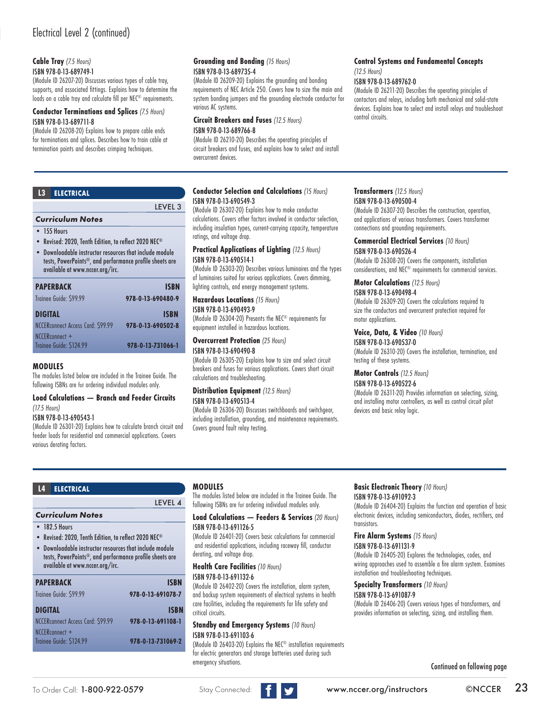### **Cable Tray** *(7.5 Hours)*

ISBN 978-0-13-689749-1

(Module ID 26207-20) Discusses various types of cable tray, supports, and associated fittings. Explains how to determine the loads on a cable tray and calculate fill per NEC<sup>®</sup> requirements.

### **Conductor Terminations and Splices** *(7.5 Hours)* ISBN 978-0-13-689711-8

(Module ID 26208-20) Explains how to prepare cable ends for terminations and splices. Describes how to train cable at termination points and describes crimping techniques.

| 13                                                                                                                                                  | <b>ELECTRICAL</b>   |  |
|-----------------------------------------------------------------------------------------------------------------------------------------------------|---------------------|--|
|                                                                                                                                                     | LEVEL <sub>3</sub>  |  |
| <b>Curriculum Notes</b>                                                                                                                             |                     |  |
|                                                                                                                                                     | $\bullet$ 155 Hours |  |
| • Revised: 2020, Tenth Edition, to reflect 2020 NEC <sup>®</sup>                                                                                    |                     |  |
| Downloadable instructor resources that include module<br>tests, PowerPoints®, and performance profile sheets are<br>available at www.nccer.org/irc. |                     |  |
|                                                                                                                                                     |                     |  |

| <b>PAPERBACK</b>                          | <b>ISBN</b>       |
|-------------------------------------------|-------------------|
| Trainee Guide: \$99.99                    | 978-0-13-690480-9 |
| <b>DIGITAL</b>                            | <b>ISBN</b>       |
| NCCERconnect Access Card: \$99.99         | 978-0-13-690502-8 |
| NCCERconnect +<br>Trainee Guide: \$124.99 | 978-0-13-731066-1 |

### **MODULES**

The modules listed below are included in the Trainee Guide. The following ISBNs are for ordering individual modules only.

#### **Load Calculations — Branch and Feeder Circuits**  *(17.5 Hours)*

#### ISBN 978-0-13-690543-1

*Curriculum Notes*

**L4 ELECTRICAL**

available at www.nccer.org/irc.

• 182.5 Hours

NCCERconnect +<br>Trainee Guide: \$124.99

(Module ID 26301-20) Explains how to calculate branch circuit and feeder loads for residential and commercial applications. Covers various derating factors.

• Revised: 2020, Tenth Edition, to reflect 2020 NEC® • Downloadable instructor resources that include module tests, PowerPoints®, and performance profile sheets are

**PAPERBACK ISBN** Trainee Guide: \$99.99 **978-0-13-691078-7 DIGITAL ISBN** NCCERconnect Access Card: \$99.99 **978-0-13-691108-1**

Trainee Guide: \$124.99 **978-0-13-731069-2**

### **Grounding and Bonding** *(15 Hours)* ISBN 978-0-13-689735-4

(Module ID 26209-20) Explains the grounding and bonding requirements of NEC Article 250. Covers how to size the main and system bonding jumpers and the grounding electrode conductor for various AC systems.

**Circuit Breakers and Fuses** *(12.5 Hours)*

### ISBN 978-0-13-689766-8

(Module ID 26210-20) Describes the operating principles of circuit breakers and fuses, and explains how to select and install overcurrent devices.

### **Conductor Selection and Calculations** *(15 Hours)* ISBN 978-0-13-690549-3

(Module ID 26302-20) Explains how to make conductor calculations. Covers other factors involved in conductor selection, including insulation types, current-carrying capacity, temperature ratings, and voltage drop.

### **Practical Applications of Lighting** *(12.5 Hours)* ISBN 978-0-13-690514-1

(Module ID 26303-20) Describes various luminaires and the types of luminaires suited for various applications. Covers dimming, lighting controls, and energy management systems.

### **Hazardous Locations** *(15 Hours)*

ISBN 978-0-13-690493-9

(Module ID 26304-20) Presents the NEC® requirements for equipment installed in hazardous locations.

**Overcurrent Protection** *(25 Hours)*

#### ISBN 978-0-13-690490-8

(Module ID 26305-20) Explains how to size and select circuit breakers and fuses for various applications. Covers short circuit calculations and troubleshooting.

### **Distribution Equipment** *(12.5 Hours)*  ISBN 978-0-13-690513-4

(Module ID 26306-20) Discusses switchboards and switchgear, including installation, grounding, and maintenance requirements. Covers ground fault relay testing.

### **Transformers** *(12.5 Hours)*  ISBN 978-0-13-690500-4

*(12.5 Hours)*

control circuits.

ISBN 978-0-13-689762-0

(Module ID 26307-20) Describes the construction, operation, and applications of various transformers. Covers transformer connections and grounding requirements.

**Control Systems and Fundamental Concepts** 

(Module ID 26211-20) Describes the operating principles of contactors and relays, including both mechanical and solid-state devices. Explains how to select and install relays and troubleshoot

### **Commercial Electrical Services** *(10 Hours)*

ISBN 978-0-13-690526-4

(Module ID 26308-20) Covers the components, installation considerations, and NEC® requirements for commercial services.

### **Motor Calculations** *(12.5 Hours)*

ISBN 978-0-13-690498-4

(Module ID 26309-20) Covers the calculations required to size the conductors and overcurrent protection required for motor applications.

### **Voice, Data, & Video** *(10 Hours)*

ISBN 978-0-13-690537-0 (Module ID 26310-20) Covers the installation, termination, and testing of these systems.

**Motor Controls** *(12.5 Hours)*

### ISBN 978-0-13-690522-6

(Module ID 26311-20) Provides information on selecting, sizing, and installing motor controllers, as well as control circuit pilot devices and basic relay logic.

### **MODULES**

LEVEL 4

The modules listed below are included in the Trainee Guide. The following ISBNs are for ordering individual modules only.

### **Load Calculations — Feeders & Services** *(20 Hours)* ISBN 978-0-13-691126-5

(Module ID 26401-20) Covers basic calculations for commercial and residential applications, including raceway fill, conductor derating, and voltage drop.

**Health Care Facilities** *(10 Hours)*

### ISBN 978-0-13-691132-6

(Module ID 26402-20) Covers the installation, alarm system, and backup system requirements of electrical systems in health care facilities, including the requirements for life safety and critical circuits.

#### **Standby and Emergency Systems** *(10 Hours)* ISBN 978-0-13-691103-6

(Module ID 26403-20) Explains the NEC® installation requirements for electric generators and storage batteries used during such emergency situations.

### **Basic Electronic Theory** *(10 Hours)* ISBN 978-0-13-691092-3

(Module ID 26404-20) Explains the function and operation of basic electronic devices, including semiconductors, diodes, rectifiers, and transistors.

#### **Fire Alarm Systems** *(15 Hours)* ISBN 978-0-13-691131-9

(Module ID 26405-20) Explores the technologies, codes, and wiring approaches used to assemble a fire alarm system. Examines installation and troubleshooting techniques.

#### **Specialty Transformers** *(10 Hours)* ISBN 978-0-13-691087-9

(Module ID 26406-20) Covers various types of transformers, and provides information on selecting, sizing, and installing them.

Continued on following page